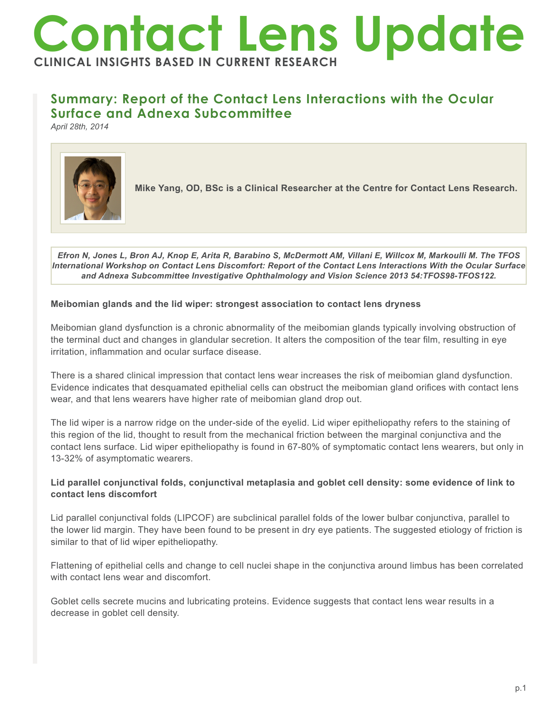# **Contact Lens Update CLINICAL INSIGHTS BASED IN CURRENT RESEARCH**

## **Summary: Report of the Contact Lens Interactions with the Ocular Surface and Adnexa Subcommittee**

*April 28th, 2014*



**Mike Yang, OD, BSc is a Clinical Researcher at the Centre for Contact Lens Research.**

*Efron N, Jones L, Bron AJ, Knop E, Arita R, Barabino S, McDermott AM, Villani E, Willcox M, Markoulli M. The TFOS International Workshop on Contact Lens Discomfort: Report of the Contact Lens Interactions With the Ocular Surface and Adnexa Subcommittee Investigative Ophthalmology and Vision Science 2013 54:TFOS98-TFOS122.*

#### **Meibomian glands and the lid wiper: strongest association to contact lens dryness**

Meibomian gland dysfunction is a chronic abnormality of the meibomian glands typically involving obstruction of the terminal duct and changes in glandular secretion. It alters the composition of the tear film, resulting in eye irritation, inflammation and ocular surface disease.

There is a shared clinical impression that contact lens wear increases the risk of meibomian gland dysfunction. Evidence indicates that desquamated epithelial cells can obstruct the meibomian gland orifices with contact lens wear, and that lens wearers have higher rate of meibomian gland drop out.

The lid wiper is a narrow ridge on the under-side of the eyelid. Lid wiper epitheliopathy refers to the staining of this region of the lid, thought to result from the mechanical friction between the marginal conjunctiva and the contact lens surface. Lid wiper epitheliopathy is found in 67-80% of symptomatic contact lens wearers, but only in 13-32% of asymptomatic wearers.

### **Lid parallel conjunctival folds, conjunctival metaplasia and goblet cell density: some evidence of link to contact lens discomfort**

Lid parallel conjunctival folds (LIPCOF) are subclinical parallel folds of the lower bulbar conjunctiva, parallel to the lower lid margin. They have been found to be present in dry eye patients. The suggested etiology of friction is similar to that of lid wiper epitheliopathy.

Flattening of epithelial cells and change to cell nuclei shape in the conjunctiva around limbus has been correlated with contact lens wear and discomfort.

Goblet cells secrete mucins and lubricating proteins. Evidence suggests that contact lens wear results in a decrease in goblet cell density.